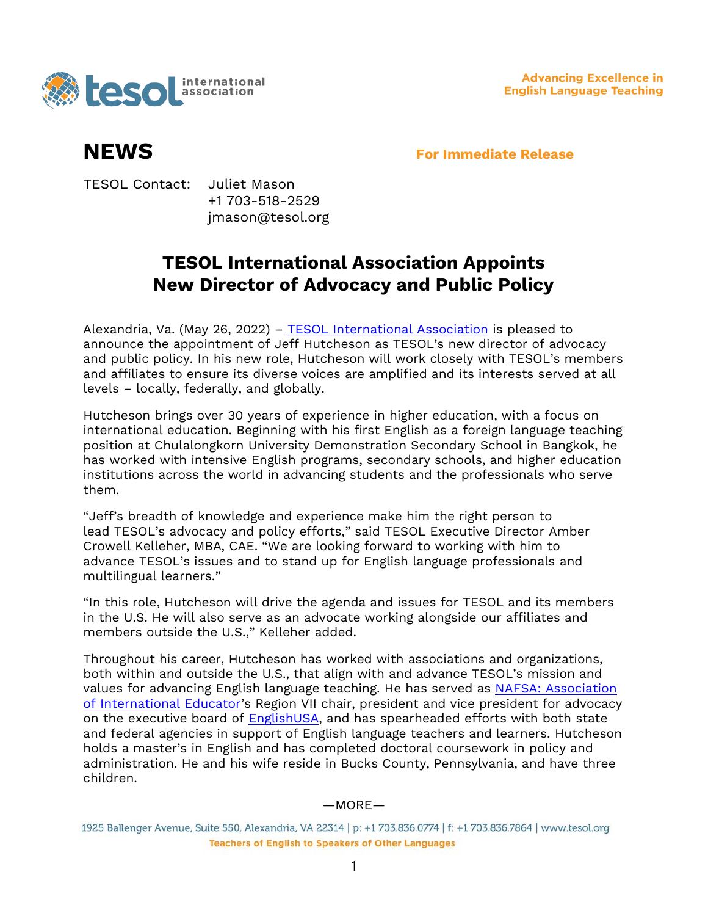

**Advancing Excellence in English Language Teaching** 

**NEWS For Immediate Release**

TESOL Contact: Juliet Mason +1 703-518-2529 jmason@tesol.org

## **TESOL International Association Appoints New Director of Advocacy and Public Policy**

Alexandria, Va. (May 26, 2022) – [TESOL International Association](https://www.tesol.org/) is pleased to announce the appointment of Jeff Hutcheson as TESOL's new director of advocacy and public policy. In his new role, Hutcheson will work closely with TESOL's members and affiliates to ensure its diverse voices are amplified and its interests served at all levels – locally, federally, and globally.

Hutcheson brings over 30 years of experience in higher education, with a focus on international education. Beginning with his first English as a foreign language teaching position at Chulalongkorn University Demonstration Secondary School in Bangkok, he has worked with intensive English programs, secondary schools, and higher education institutions across the world in advancing students and the professionals who serve them.

"Jeff's breadth of knowledge and experience make him the right person to lead TESOL's advocacy and policy efforts," said TESOL Executive Director Amber Crowell Kelleher, MBA, CAE. "We are looking forward to working with him to advance TESOL's issues and to stand up for English language professionals and multilingual learners."

"In this role, Hutcheson will drive the agenda and issues for TESOL and its members in the U.S. He will also serve as an advocate working alongside our affiliates and members outside the U.S.," Kelleher added.

Throughout his career, Hutcheson has worked with associations and organizations, both within and outside the U.S., that align with and advance TESOL's mission and values for advancing English language teaching. He has served as [NAFSA: Association](https://www.nafsa.org/)  [of International Educator](https://www.nafsa.org/)'s Region VII chair, president and vice president for advocacy on the executive board of [EnglishUSA,](https://www.englishusa.org/) and has spearheaded efforts with both state and federal agencies in support of English language teachers and learners. Hutcheson holds a master's in English and has completed doctoral coursework in policy and administration. He and his wife reside in Bucks County, Pennsylvania, and have three children.

## —MORE—

1925 Ballenger Avenue, Suite 550, Alexandria, VA 22314 | p: +1 703.836.0774 | f: +1 703.836.7864 | www.tesol.org **Teachers of English to Speakers of Other Languages**